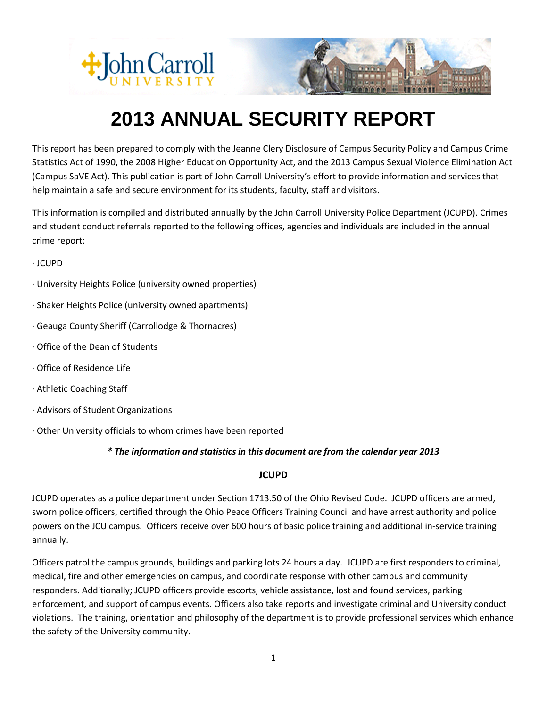



# **2013 ANNUAL SECURITY REPORT**

This report has been prepared to comply with the Jeanne Clery Disclosure of Campus Security Policy and Campus Crime Statistics Act of 1990, the 2008 Higher Education Opportunity Act, and the 2013 Campus Sexual Violence Elimination Act (Campus SaVE Act). This publication is part of John Carroll University's effort to provide information and services that help maintain a safe and secure environment for its students, faculty, staff and visitors.

This information is compiled and distributed annually by the John Carroll University Police Department (JCUPD). Crimes and student conduct referrals reported to the following offices, agencies and individuals are included in the annual crime report:

· JCUPD

- · University Heights Police (university owned properties)
- · Shaker Heights Police (university owned apartments)
- · Geauga County Sheriff (Carrollodge & Thornacres)
- · Office of the Dean of Students
- · Office of Residence Life
- · Athletic Coaching Staff
- · Advisors of Student Organizations
- · Other University officials to whom crimes have been reported

## *\* The information and statistics in this document are from the calendar year 2013*

#### **JCUPD**

JCUPD operates as a police department under Section 1713.50 of the Ohio Revised Code. JCUPD officers are armed, sworn police officers, certified through the Ohio Peace Officers Training Council and have arrest authority and police powers on the JCU campus. Officers receive over 600 hours of basic police training and additional in-service training annually.

Officers patrol the campus grounds, buildings and parking lots 24 hours a day. JCUPD are first responders to criminal, medical, fire and other emergencies on campus, and coordinate response with other campus and community responders. Additionally; JCUPD officers provide escorts, vehicle assistance, lost and found services, parking enforcement, and support of campus events. Officers also take reports and investigate criminal and University conduct violations. The training, orientation and philosophy of the department is to provide professional services which enhance the safety of the University community.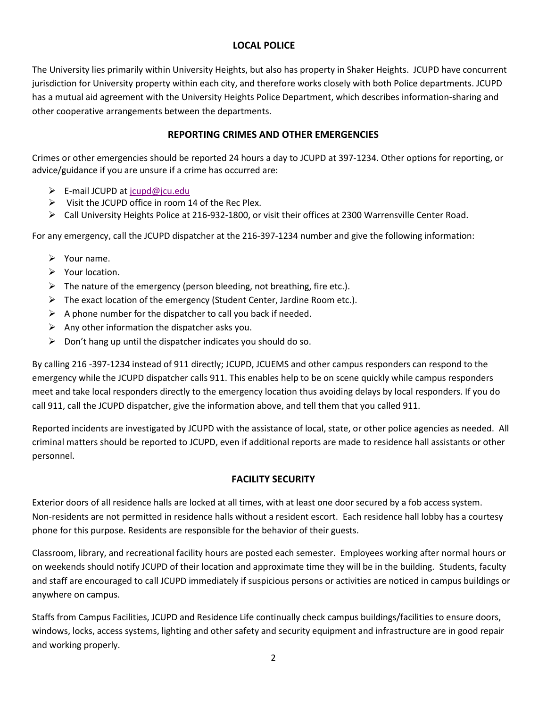## **LOCAL POLICE**

The University lies primarily within University Heights, but also has property in Shaker Heights. JCUPD have concurrent jurisdiction for University property within each city, and therefore works closely with both Police departments. JCUPD has a mutual aid agreement with the University Heights Police Department, which describes information-sharing and other cooperative arrangements between the departments.

## **REPORTING CRIMES AND OTHER EMERGENCIES**

Crimes or other emergencies should be reported 24 hours a day to JCUPD at 397-1234. Other options for reporting, or advice/guidance if you are unsure if a crime has occurred are:

- $\triangleright$  E-mail JCUPD at [jcupd@jcu.edu](mailto:jcupd@jcu.edu)
- $\triangleright$  Visit the JCUPD office in room 14 of the Rec Plex.
- $\triangleright$  Call University Heights Police at 216-932-1800, or visit their offices at 2300 Warrensville Center Road.

For any emergency, call the JCUPD dispatcher at the 216-397-1234 number and give the following information:

- $\triangleright$  Your name.
- $\triangleright$  Your location.
- $\triangleright$  The nature of the emergency (person bleeding, not breathing, fire etc.).
- $\triangleright$  The exact location of the emergency (Student Center, Jardine Room etc.).
- $\triangleright$  A phone number for the dispatcher to call you back if needed.
- $\triangleright$  Any other information the dispatcher asks you.
- $\triangleright$  Don't hang up until the dispatcher indicates you should do so.

By calling 216 -397-1234 instead of 911 directly; JCUPD, JCUEMS and other campus responders can respond to the emergency while the JCUPD dispatcher calls 911. This enables help to be on scene quickly while campus responders meet and take local responders directly to the emergency location thus avoiding delays by local responders. If you do call 911, call the JCUPD dispatcher, give the information above, and tell them that you called 911.

Reported incidents are investigated by JCUPD with the assistance of local, state, or other police agencies as needed. All criminal matters should be reported to JCUPD, even if additional reports are made to residence hall assistants or other personnel.

## **FACILITY SECURITY**

Exterior doors of all residence halls are locked at all times, with at least one door secured by a fob access system. Non-residents are not permitted in residence halls without a resident escort. Each residence hall lobby has a courtesy phone for this purpose. Residents are responsible for the behavior of their guests.

Classroom, library, and recreational facility hours are posted each semester. Employees working after normal hours or on weekends should notify JCUPD of their location and approximate time they will be in the building. Students, faculty and staff are encouraged to call JCUPD immediately if suspicious persons or activities are noticed in campus buildings or anywhere on campus.

Staffs from Campus Facilities, JCUPD and Residence Life continually check campus buildings/facilities to ensure doors, windows, locks, access systems, lighting and other safety and security equipment and infrastructure are in good repair and working properly.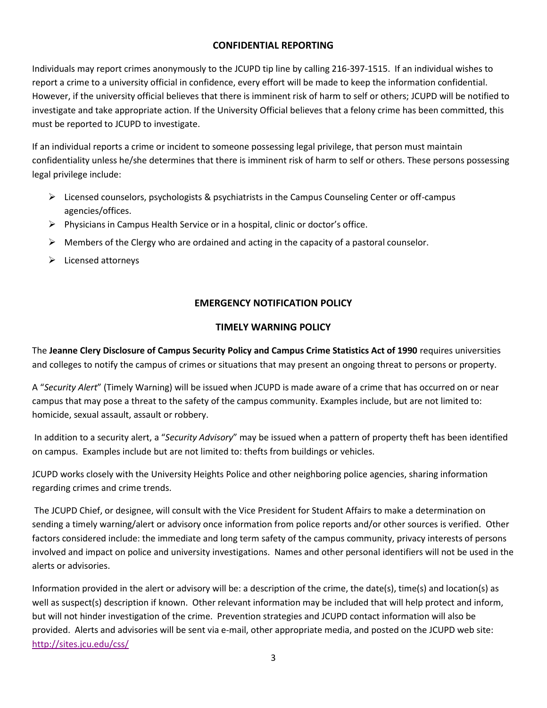## **CONFIDENTIAL REPORTING**

Individuals may report crimes anonymously to the JCUPD tip line by calling 216-397-1515. If an individual wishes to report a crime to a university official in confidence, every effort will be made to keep the information confidential. However, if the university official believes that there is imminent risk of harm to self or others; JCUPD will be notified to investigate and take appropriate action. If the University Official believes that a felony crime has been committed, this must be reported to JCUPD to investigate.

If an individual reports a crime or incident to someone possessing legal privilege, that person must maintain confidentiality unless he/she determines that there is imminent risk of harm to self or others. These persons possessing legal privilege include:

- $\triangleright$  Licensed counselors, psychologists & psychiatrists in the Campus Counseling Center or off-campus agencies/offices.
- $\triangleright$  Physicians in Campus Health Service or in a hospital, clinic or doctor's office.
- $\triangleright$  Members of the Clergy who are ordained and acting in the capacity of a pastoral counselor.
- $\triangleright$  Licensed attorneys

## **EMERGENCY NOTIFICATION POLICY**

## **TIMELY WARNING POLICY**

The **Jeanne Clery Disclosure of Campus Security Policy and Campus Crime Statistics Act of 1990** requires universities and colleges to notify the campus of crimes or situations that may present an ongoing threat to persons or property.

A "*Security Alert*" (Timely Warning) will be issued when JCUPD is made aware of a crime that has occurred on or near campus that may pose a threat to the safety of the campus community. Examples include, but are not limited to: homicide, sexual assault, assault or robbery.

In addition to a security alert, a "*Security Advisory*" may be issued when a pattern of property theft has been identified on campus. Examples include but are not limited to: thefts from buildings or vehicles.

JCUPD works closely with the University Heights Police and other neighboring police agencies, sharing information regarding crimes and crime trends.

The JCUPD Chief, or designee, will consult with the Vice President for Student Affairs to make a determination on sending a timely warning/alert or advisory once information from police reports and/or other sources is verified. Other factors considered include: the immediate and long term safety of the campus community, privacy interests of persons involved and impact on police and university investigations. Names and other personal identifiers will not be used in the alerts or advisories.

Information provided in the alert or advisory will be: a description of the crime, the date(s), time(s) and location(s) as well as suspect(s) description if known. Other relevant information may be included that will help protect and inform, but will not hinder investigation of the crime. Prevention strategies and JCUPD contact information will also be provided. Alerts and advisories will be sent via e-mail, other appropriate media, and posted on the JCUPD web site: <http://sites.jcu.edu/css/>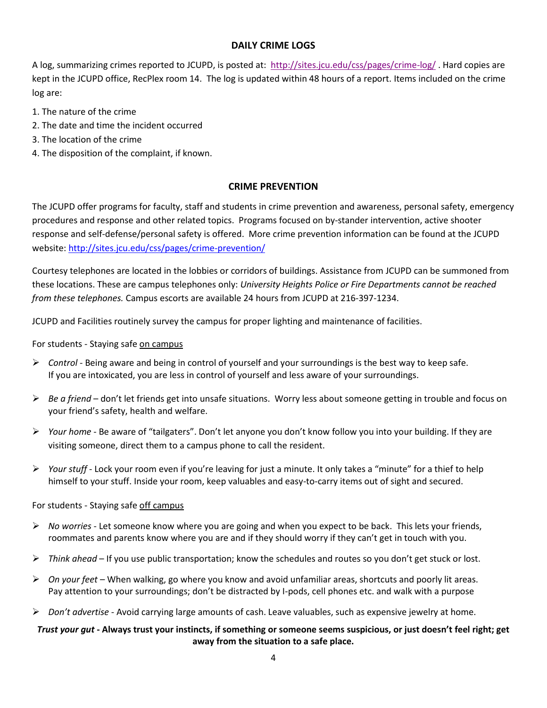## **DAILY CRIME LOGS**

A log, summarizing crimes reported to JCUPD, is posted at: <http://sites.jcu.edu/css/pages/crime-log/> . Hard copies are kept in the JCUPD office, RecPlex room 14. The log is updated within 48 hours of a report. Items included on the crime log are:

- 1. The nature of the crime
- 2. The date and time the incident occurred
- 3. The location of the crime
- 4. The disposition of the complaint, if known.

## **CRIME PREVENTION**

The JCUPD offer programs for faculty, staff and students in crime prevention and awareness, personal safety, emergency procedures and response and other related topics. Programs focused on by-stander intervention, active shooter response and self-defense/personal safety is offered. More crime prevention information can be found at the JCUPD website[: http://sites.jcu.edu/css/pages/crime-prevention/](http://sites.jcu.edu/css/pages/crime-prevention/)

Courtesy telephones are located in the lobbies or corridors of buildings. Assistance from JCUPD can be summoned from these locations. These are campus telephones only: *University Heights Police or Fire Departments cannot be reached from these telephones.* Campus escorts are available 24 hours from JCUPD at 216-397-1234.

JCUPD and Facilities routinely survey the campus for proper lighting and maintenance of facilities.

For students - Staying safe on campus

- *Control*  Being aware and being in control of yourself and your surroundings is the best way to keep safe. If you are intoxicated, you are less in control of yourself and less aware of your surroundings.
- *Be a friend* don't let friends get into unsafe situations. Worry less about someone getting in trouble and focus on your friend's safety, health and welfare.
- *Your home* Be aware of "tailgaters". Don't let anyone you don't know follow you into your building. If they are visiting someone, direct them to a campus phone to call the resident.
- *Your stuff* Lock your room even if you're leaving for just a minute. It only takes a "minute" for a thief to help himself to your stuff. Inside your room, keep valuables and easy-to-carry items out of sight and secured.

For students - Staying safe off campus

- *No worries* Let someone know where you are going and when you expect to be back. This lets your friends, roommates and parents know where you are and if they should worry if they can't get in touch with you.
- *Think ahead* If you use public transportation; know the schedules and routes so you don't get stuck or lost.
- *On your feet* When walking, go where you know and avoid unfamiliar areas, shortcuts and poorly lit areas. Pay attention to your surroundings; don't be distracted by I-pods, cell phones etc. and walk with a purpose
- *Don't advertise* Avoid carrying large amounts of cash. Leave valuables, such as expensive jewelry at home.

## *Trust your gut* **- Always trust your instincts, if something or someone seems suspicious, or just doesn't feel right; get away from the situation to a safe place.**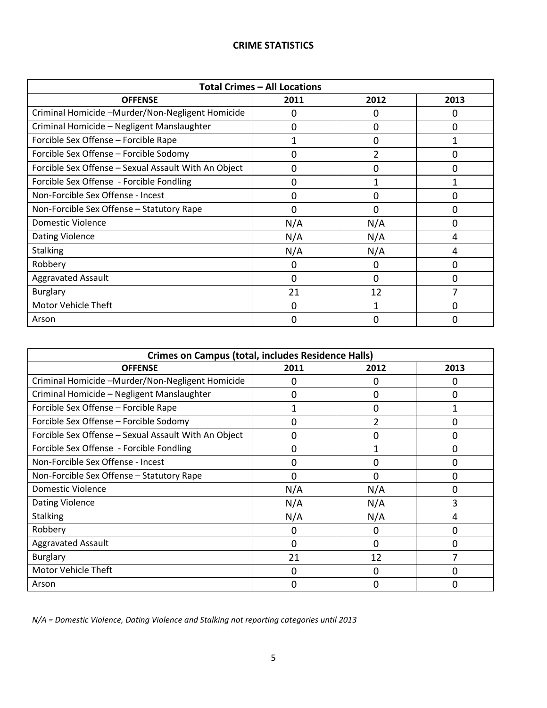## **CRIME STATISTICS**

| <b>Total Crimes - All Locations</b>                  |      |          |      |  |  |  |
|------------------------------------------------------|------|----------|------|--|--|--|
| <b>OFFENSE</b>                                       | 2011 | 2012     | 2013 |  |  |  |
| Criminal Homicide -Murder/Non-Negligent Homicide     | 0    | 0        | 0    |  |  |  |
| Criminal Homicide - Negligent Manslaughter           | 0    | $\Omega$ | 0    |  |  |  |
| Forcible Sex Offense - Forcible Rape                 | 1    | $\Omega$ |      |  |  |  |
| Forcible Sex Offense - Forcible Sodomy               | 0    | 2        | 0    |  |  |  |
| Forcible Sex Offense - Sexual Assault With An Object | 0    | 0        | 0    |  |  |  |
| Forcible Sex Offense - Forcible Fondling             | 0    |          |      |  |  |  |
| Non-Forcible Sex Offense - Incest                    | 0    | ∩        | 0    |  |  |  |
| Non-Forcible Sex Offense - Statutory Rape            | 0    | 0        | 0    |  |  |  |
| Domestic Violence                                    | N/A  | N/A      | 0    |  |  |  |
| <b>Dating Violence</b>                               | N/A  | N/A      | 4    |  |  |  |
| <b>Stalking</b>                                      | N/A  | N/A      | 4    |  |  |  |
| Robbery                                              | 0    | $\Omega$ | 0    |  |  |  |
| <b>Aggravated Assault</b>                            | 0    | $\Omega$ | 0    |  |  |  |
| <b>Burglary</b>                                      | 21   | 12       | 7    |  |  |  |
| Motor Vehicle Theft                                  | 0    |          | 0    |  |  |  |
| Arson                                                | 0    |          | O    |  |  |  |

| <b>Crimes on Campus (total, includes Residence Halls)</b> |      |          |          |  |  |
|-----------------------------------------------------------|------|----------|----------|--|--|
| <b>OFFENSE</b>                                            | 2011 | 2012     | 2013     |  |  |
| Criminal Homicide -Murder/Non-Negligent Homicide          | 0    | 0        | 0        |  |  |
| Criminal Homicide - Negligent Manslaughter                | 0    | 0        | $\Omega$ |  |  |
| Forcible Sex Offense - Forcible Rape                      | 1    | 0        |          |  |  |
| Forcible Sex Offense - Forcible Sodomy                    | 0    |          | O        |  |  |
| Forcible Sex Offense - Sexual Assault With An Object      | 0    | 0        | 0        |  |  |
| Forcible Sex Offense - Forcible Fondling                  | 0    |          | 0        |  |  |
| Non-Forcible Sex Offense - Incest                         | 0    | 0        | 0        |  |  |
| Non-Forcible Sex Offense - Statutory Rape                 | 0    | 0        |          |  |  |
| Domestic Violence                                         | N/A  | N/A      | 0        |  |  |
| Dating Violence                                           | N/A  | N/A      | 3        |  |  |
| <b>Stalking</b>                                           | N/A  | N/A      | 4        |  |  |
| Robbery                                                   | 0    | 0        | 0        |  |  |
| <b>Aggravated Assault</b>                                 | 0    | $\Omega$ | $\Omega$ |  |  |
| <b>Burglary</b>                                           | 21   | 12       |          |  |  |
| Motor Vehicle Theft                                       | 0    | 0        | 0        |  |  |
| Arson                                                     | 0    | U        | O        |  |  |

*N/A = Domestic Violence, Dating Violence and Stalking not reporting categories until 2013*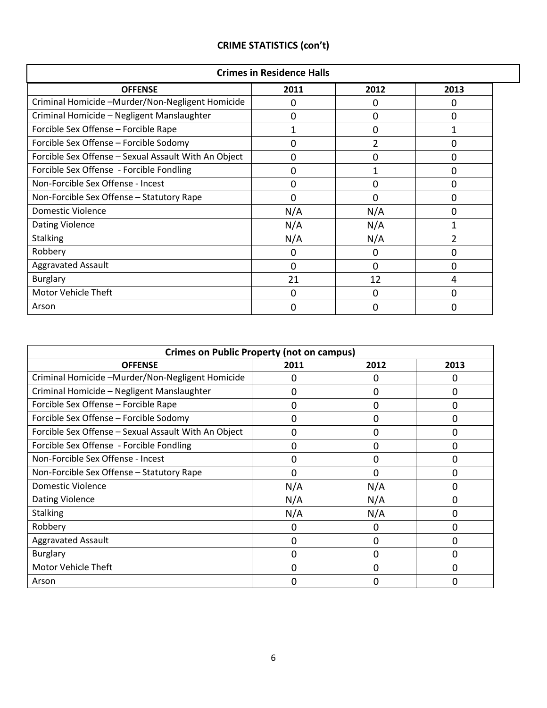|  |  | <b>CRIME STATISTICS (con't)</b> |  |
|--|--|---------------------------------|--|
|--|--|---------------------------------|--|

| <b>Crimes in Residence Halls</b>                     |              |          |      |  |  |  |
|------------------------------------------------------|--------------|----------|------|--|--|--|
| <b>OFFENSE</b>                                       | 2011         | 2012     | 2013 |  |  |  |
| Criminal Homicide -Murder/Non-Negligent Homicide     | 0            | 0        | 0    |  |  |  |
| Criminal Homicide - Negligent Manslaughter           | 0            | 0        | 0    |  |  |  |
| Forcible Sex Offense - Forcible Rape                 | $\mathbf{1}$ | 0        |      |  |  |  |
| Forcible Sex Offense - Forcible Sodomy               | 0            | 2        | 0    |  |  |  |
| Forcible Sex Offense - Sexual Assault With An Object | 0            | 0        | Ω    |  |  |  |
| Forcible Sex Offense - Forcible Fondling             | 0            | 1        | 0    |  |  |  |
| Non-Forcible Sex Offense - Incest                    | 0            | 0        | 0    |  |  |  |
| Non-Forcible Sex Offense - Statutory Rape            | 0            | 0        | 0    |  |  |  |
| Domestic Violence                                    | N/A          | N/A      | 0    |  |  |  |
| <b>Dating Violence</b>                               | N/A          | N/A      |      |  |  |  |
| <b>Stalking</b>                                      | N/A          | N/A      |      |  |  |  |
| Robbery                                              | $\Omega$     | $\Omega$ | 0    |  |  |  |
| <b>Aggravated Assault</b>                            | $\Omega$     | $\Omega$ | 0    |  |  |  |
| <b>Burglary</b>                                      | 21           | 12       | 4    |  |  |  |
| <b>Motor Vehicle Theft</b>                           | $\Omega$     | $\Omega$ | 0    |  |  |  |
| Arson                                                | $\Omega$     | 0        | 0    |  |  |  |

| <b>Crimes on Public Property (not on campus)</b>     |          |          |          |  |  |
|------------------------------------------------------|----------|----------|----------|--|--|
| <b>OFFENSE</b>                                       | 2011     | 2012     | 2013     |  |  |
| Criminal Homicide -Murder/Non-Negligent Homicide     | 0        | 0        | 0        |  |  |
| Criminal Homicide - Negligent Manslaughter           | 0        | $\Omega$ | $\Omega$ |  |  |
| Forcible Sex Offense - Forcible Rape                 | 0        | 0        | 0        |  |  |
| Forcible Sex Offense - Forcible Sodomy               | 0        | 0        | 0        |  |  |
| Forcible Sex Offense - Sexual Assault With An Object | 0        | 0        | 0        |  |  |
| Forcible Sex Offense - Forcible Fondling             | 0        | 0        | 0        |  |  |
| Non-Forcible Sex Offense - Incest                    | 0        | 0        | 0        |  |  |
| Non-Forcible Sex Offense - Statutory Rape            | 0        | 0        |          |  |  |
| Domestic Violence                                    | N/A      | N/A      | $\Omega$ |  |  |
| Dating Violence                                      | N/A      | N/A      | $\Omega$ |  |  |
| <b>Stalking</b>                                      | N/A      | N/A      | $\Omega$ |  |  |
| Robbery                                              | 0        | 0        | 0        |  |  |
| <b>Aggravated Assault</b>                            | $\Omega$ | $\Omega$ | $\Omega$ |  |  |
| <b>Burglary</b>                                      | $\Omega$ | 0        | 0        |  |  |
| Motor Vehicle Theft                                  | 0        |          | 0        |  |  |
| Arson                                                | 0        |          |          |  |  |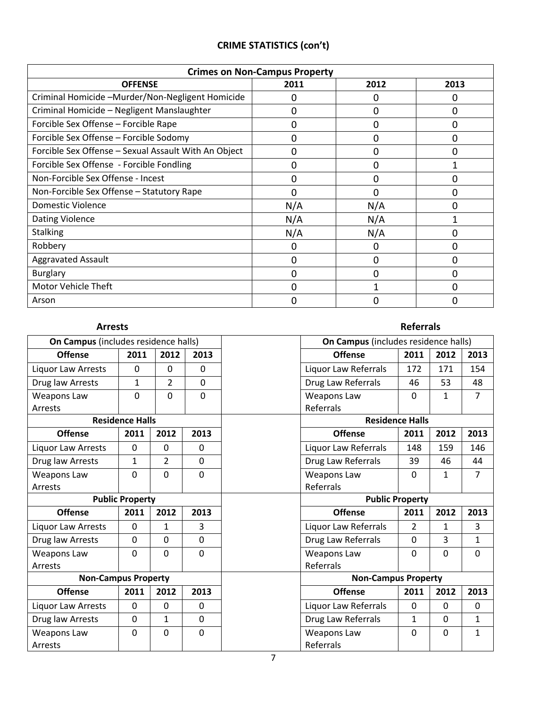|  | <b>CRIME STATISTICS (con't)</b> |  |
|--|---------------------------------|--|
|--|---------------------------------|--|

| <b>Crimes on Non-Campus Property</b>                 |      |              |      |  |  |  |
|------------------------------------------------------|------|--------------|------|--|--|--|
| <b>OFFENSE</b>                                       | 2011 | 2012         | 2013 |  |  |  |
| Criminal Homicide -Murder/Non-Negligent Homicide     | 0    | $\mathbf{0}$ | 0    |  |  |  |
| Criminal Homicide - Negligent Manslaughter           | 0    | $\Omega$     | 0    |  |  |  |
| Forcible Sex Offense - Forcible Rape                 | 0    | $\Omega$     | 0    |  |  |  |
| Forcible Sex Offense - Forcible Sodomy               | 0    | 0            | 0    |  |  |  |
| Forcible Sex Offense - Sexual Assault With An Object | 0    | O            | 0    |  |  |  |
| Forcible Sex Offense - Forcible Fondling             | 0    | 0            |      |  |  |  |
| Non-Forcible Sex Offense - Incest                    | 0    | 0            | 0    |  |  |  |
| Non-Forcible Sex Offense - Statutory Rape            | 0    | 0            | 0    |  |  |  |
| Domestic Violence                                    | N/A  | N/A          | O    |  |  |  |
| <b>Dating Violence</b>                               | N/A  | N/A          |      |  |  |  |
| <b>Stalking</b>                                      | N/A  | N/A          | 0    |  |  |  |
| Robbery                                              | 0    | $\Omega$     | 0    |  |  |  |
| <b>Aggravated Assault</b>                            | 0    | $\Omega$     | 0    |  |  |  |
| <b>Burglary</b>                                      | 0    | $\Omega$     | 0    |  |  |  |
| Motor Vehicle Theft                                  | 0    |              | 0    |  |  |  |
| Arson                                                | 0    |              | 0    |  |  |  |

## **Arrests** Referrals

| On Campus (includes residence halls) |                        |                |                        | On Campus (includes residence halls) |                |                |
|--------------------------------------|------------------------|----------------|------------------------|--------------------------------------|----------------|----------------|
| <b>Offense</b>                       | 2011                   | 2012           | 2013                   | 2011<br><b>Offense</b>               | 2012           | 2013           |
| Liquor Law Arrests                   | $\Omega$               | $\mathbf 0$    | $\Omega$               | Liquor Law Referrals<br>172          | 171            | 154            |
| Drug law Arrests                     | 1                      | $\overline{2}$ | $\Omega$               | Drug Law Referrals<br>46             | 53             | 48             |
| Weapons Law                          | $\Omega$               | $\Omega$       | $\Omega$               | Weapons Law<br>$\Omega$              | $\mathbf{1}$   | $\overline{7}$ |
| Arrests                              |                        |                |                        | Referrals                            |                |                |
|                                      | <b>Residence Halls</b> |                |                        | <b>Residence Halls</b>               |                |                |
| <b>Offense</b>                       | 2011                   | 2012           | 2013                   | <b>Offense</b><br>2011               | 2012           | 2013           |
| <b>Liquor Law Arrests</b>            | $\Omega$               | $\mathbf 0$    | $\Omega$               | Liquor Law Referrals<br>148          | 159            | 146            |
| Drug law Arrests                     | $\mathbf{1}$           | 2              | $\Omega$               | Drug Law Referrals<br>39             | 46             | 44             |
| Weapons Law                          | $\mathbf 0$            | $\mathbf 0$    | 0                      | Weapons Law<br>0                     | 1              | 7              |
| Arrests                              |                        |                |                        | Referrals                            |                |                |
| <b>Public Property</b>               |                        |                | <b>Public Property</b> |                                      |                |                |
| <b>Offense</b>                       | 2011                   | 2012           | 2013                   | <b>Offense</b><br>2011               | 2012           | 2013           |
| Liquor Law Arrests                   | $\mathbf 0$            | 1              | 3                      | Liquor Law Referrals<br>$\mathbf{2}$ | 1              | 3              |
| Drug law Arrests                     | $\mathbf 0$            | $\mathbf 0$    | 0                      | Drug Law Referrals<br>$\Omega$       | 3              | $\mathbf{1}$   |
| Weapons Law                          | $\mathbf 0$            | $\mathbf 0$    | $\mathbf 0$            | Weapons Law<br>$\mathbf 0$           | $\mathbf 0$    | $\mathbf 0$    |
| Arrests                              |                        |                |                        | Referrals                            |                |                |
| <b>Non-Campus Property</b>           |                        |                |                        | <b>Non-Campus Property</b>           |                |                |
| <b>Offense</b>                       | 2011                   | 2012           | 2013                   | <b>Offense</b><br>2011               | 2012           | 2013           |
| <b>Liquor Law Arrests</b>            | $\mathbf 0$            | $\mathbf 0$    | 0                      | Liquor Law Referrals<br>$\mathbf 0$  | $\mathbf 0$    | $\mathbf 0$    |
| Drug law Arrests                     | $\mathbf 0$            | $\mathbf{1}$   | $\overline{0}$         | Drug Law Referrals<br>1              | $\overline{0}$ | $\mathbf{1}$   |
| Weapons Law                          | $\mathbf 0$            | $\mathbf 0$    | 0                      | Weapons Law<br>$\Omega$              | $\overline{0}$ | $\mathbf{1}$   |
| Arrests                              |                        |                |                        | Referrals                            |                |                |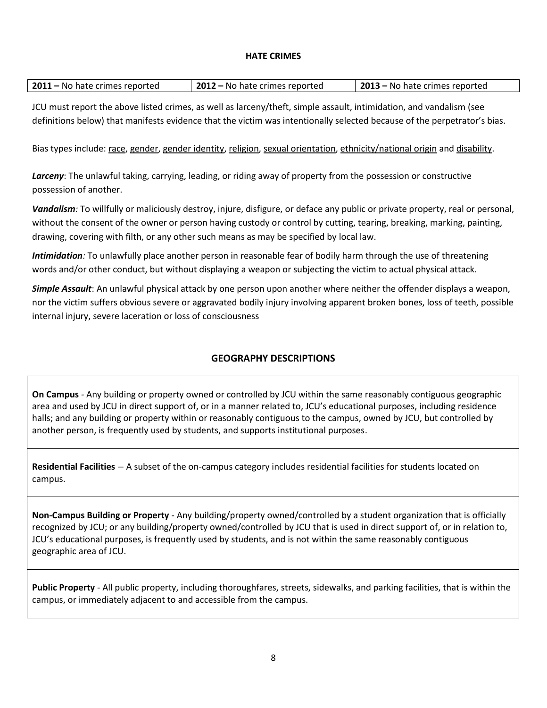#### **HATE CRIMES**

| 2011 - No hate crimes reported | 2012 – No hate crimes reported | <b>2013</b> – No hate crimes reported |
|--------------------------------|--------------------------------|---------------------------------------|
|--------------------------------|--------------------------------|---------------------------------------|

JCU must report the above listed crimes, as well as larceny/theft, simple assault, intimidation, and vandalism (see definitions below) that manifests evidence that the victim was intentionally selected because of the perpetrator's bias.

## Bias types include: race, gender, gender identity, religion, sexual orientation, ethnicity/national origin and disability.

*Larceny*: The unlawful taking, carrying, leading, or riding away of property from the possession or constructive possession of another.

*Vandalism:* To willfully or maliciously destroy, injure, disfigure, or deface any public or private property, real or personal, without the consent of the owner or person having custody or control by cutting, tearing, breaking, marking, painting, drawing, covering with filth, or any other such means as may be specified by local law.

*Intimidation:* To unlawfully place another person in reasonable fear of bodily harm through the use of threatening words and/or other conduct, but without displaying a weapon or subjecting the victim to actual physical attack.

*Simple Assault*: An unlawful physical attack by one person upon another where neither the offender displays a weapon, nor the victim suffers obvious severe or aggravated bodily injury involving apparent broken bones, loss of teeth, possible internal injury, severe laceration or loss of consciousness

# **GEOGRAPHY DESCRIPTIONS**

**On Campus** *-* Any building or property owned or controlled by JCU within the same reasonably contiguous geographic area and used by JCU in direct support of, or in a manner related to, JCU's educational purposes, including residence halls; and any building or property within or reasonably contiguous to the campus, owned by JCU, but controlled by another person, is frequently used by students, and supports institutional purposes.

**Residential Facilities** *–* A subset of the on-campus category includes residential facilities for students located on campus.

**Non-Campus Building or Property** - Any building/property owned/controlled by a student organization that is officially recognized by JCU; or any building/property owned/controlled by JCU that is used in direct support of, or in relation to, JCU's educational purposes, is frequently used by students, and is not within the same reasonably contiguous geographic area of JCU.

**Public Property** - All public property, including thoroughfares, streets, sidewalks, and parking facilities, that is within the campus, or immediately adjacent to and accessible from the campus.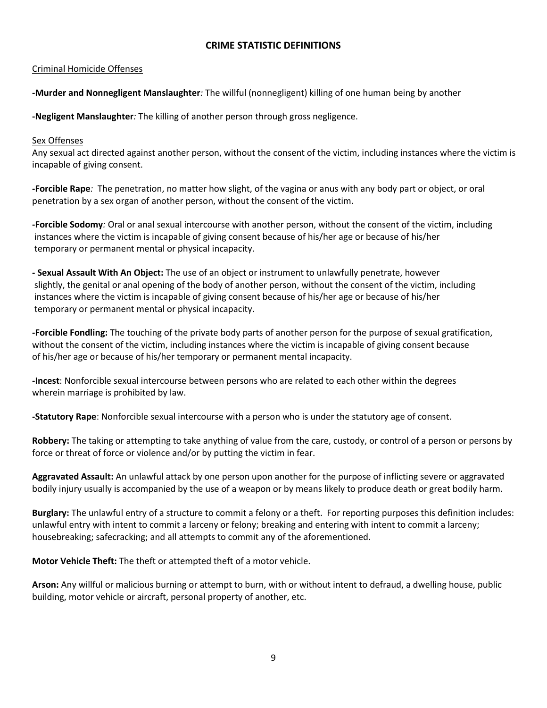## **CRIME STATISTIC DEFINITIONS**

### Criminal Homicide Offenses

**-Murder and Nonnegligent Manslaughter***:* The willful (nonnegligent) killing of one human being by another

**-Negligent Manslaughter***:* The killing of another person through gross negligence.

#### Sex Offenses

Any sexual act directed against another person, without the consent of the victim, including instances where the victim is incapable of giving consent.

**-Forcible Rape***:* The penetration, no matter how slight, of the vagina or anus with any body part or object, or oral penetration by a sex organ of another person, without the consent of the victim.

**-Forcible Sodomy***:* Oral or anal sexual intercourse with another person, without the consent of the victim, including instances where the victim is incapable of giving consent because of his/her age or because of his/her temporary or permanent mental or physical incapacity.

**- Sexual Assault With An Object:** The use of an object or instrument to unlawfully penetrate, however slightly, the genital or anal opening of the body of another person, without the consent of the victim, including instances where the victim is incapable of giving consent because of his/her age or because of his/her temporary or permanent mental or physical incapacity.

**-Forcible Fondling:** The touching of the private body parts of another person for the purpose of sexual gratification, without the consent of the victim, including instances where the victim is incapable of giving consent because of his/her age or because of his/her temporary or permanent mental incapacity.

**-Incest**: Nonforcible sexual intercourse between persons who are related to each other within the degrees wherein marriage is prohibited by law.

**-Statutory Rape**: Nonforcible sexual intercourse with a person who is under the statutory age of consent.

**Robbery:** The taking or attempting to take anything of value from the care, custody, or control of a person or persons by force or threat of force or violence and/or by putting the victim in fear.

**Aggravated Assault:** An unlawful attack by one person upon another for the purpose of inflicting severe or aggravated bodily injury usually is accompanied by the use of a weapon or by means likely to produce death or great bodily harm.

**Burglary:** The unlawful entry of a structure to commit a felony or a theft. For reporting purposes this definition includes: unlawful entry with intent to commit a larceny or felony; breaking and entering with intent to commit a larceny; housebreaking; safecracking; and all attempts to commit any of the aforementioned.

**Motor Vehicle Theft:** The theft or attempted theft of a motor vehicle.

**Arson:** Any willful or malicious burning or attempt to burn, with or without intent to defraud, a dwelling house, public building, motor vehicle or aircraft, personal property of another, etc.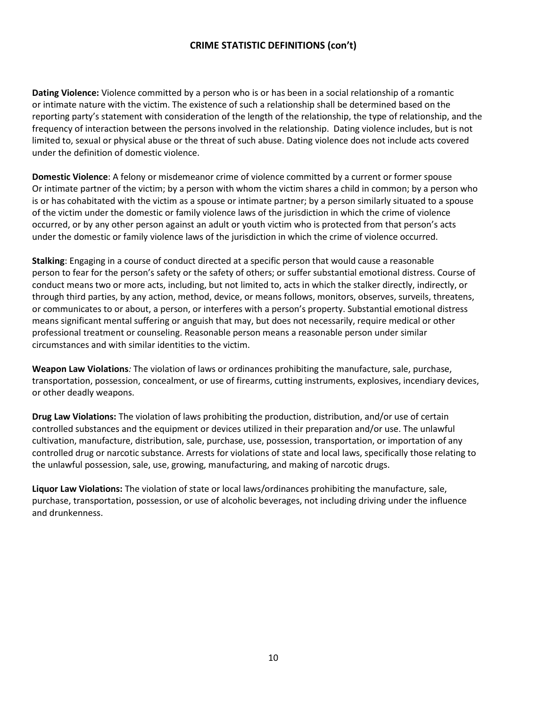## **CRIME STATISTIC DEFINITIONS (con't)**

**Dating Violence:** Violence committed by a person who is or has been in a social relationship of a romantic or intimate nature with the victim. The existence of such a relationship shall be determined based on the reporting party's statement with consideration of the length of the relationship, the type of relationship, and the frequency of interaction between the persons involved in the relationship. Dating violence includes, but is not limited to, sexual or physical abuse or the threat of such abuse. Dating violence does not include acts covered under the definition of domestic violence.

**Domestic Violence**: A felony or misdemeanor crime of violence committed by a current or former spouse Or intimate partner of the victim; by a person with whom the victim shares a child in common; by a person who is or has cohabitated with the victim as a spouse or intimate partner; by a person similarly situated to a spouse of the victim under the domestic or family violence laws of the jurisdiction in which the crime of violence occurred, or by any other person against an adult or youth victim who is protected from that person's acts under the domestic or family violence laws of the jurisdiction in which the crime of violence occurred.

**Stalking**: Engaging in a course of conduct directed at a specific person that would cause a reasonable person to fear for the person's safety or the safety of others; or suffer substantial emotional distress. Course of conduct means two or more acts, including, but not limited to, acts in which the stalker directly, indirectly, or through third parties, by any action, method, device, or means follows, monitors, observes, surveils, threatens, or communicates to or about, a person, or interferes with a person's property. Substantial emotional distress means significant mental suffering or anguish that may, but does not necessarily, require medical or other professional treatment or counseling. Reasonable person means a reasonable person under similar circumstances and with similar identities to the victim.

**Weapon Law Violations***:* The violation of laws or ordinances prohibiting the manufacture, sale, purchase, transportation, possession, concealment, or use of firearms, cutting instruments, explosives, incendiary devices, or other deadly weapons.

**Drug Law Violations:** The violation of laws prohibiting the production, distribution, and/or use of certain controlled substances and the equipment or devices utilized in their preparation and/or use. The unlawful cultivation, manufacture, distribution, sale, purchase, use, possession, transportation, or importation of any controlled drug or narcotic substance. Arrests for violations of state and local laws, specifically those relating to the unlawful possession, sale, use, growing, manufacturing, and making of narcotic drugs.

**Liquor Law Violations:** The violation of state or local laws/ordinances prohibiting the manufacture, sale, purchase, transportation, possession, or use of alcoholic beverages, not including driving under the influence and drunkenness.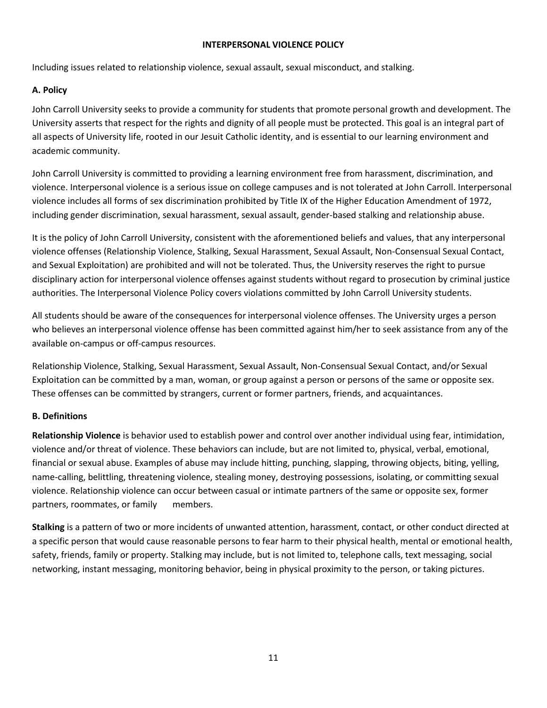#### **INTERPERSONAL VIOLENCE POLICY**

Including issues related to relationship violence, sexual assault, sexual misconduct, and stalking.

## **A. Policy**

John Carroll University seeks to provide a community for students that promote personal growth and development. The University asserts that respect for the rights and dignity of all people must be protected. This goal is an integral part of all aspects of University life, rooted in our Jesuit Catholic identity, and is essential to our learning environment and academic community.

John Carroll University is committed to providing a learning environment free from harassment, discrimination, and violence. Interpersonal violence is a serious issue on college campuses and is not tolerated at John Carroll. Interpersonal violence includes all forms of sex discrimination prohibited by Title IX of the Higher Education Amendment of 1972, including gender discrimination, sexual harassment, sexual assault, gender-based stalking and relationship abuse.

It is the policy of John Carroll University, consistent with the aforementioned beliefs and values, that any interpersonal violence offenses (Relationship Violence, Stalking, Sexual Harassment, Sexual Assault, Non-Consensual Sexual Contact, and Sexual Exploitation) are prohibited and will not be tolerated. Thus, the University reserves the right to pursue disciplinary action for interpersonal violence offenses against students without regard to prosecution by criminal justice authorities. The Interpersonal Violence Policy covers violations committed by John Carroll University students.

All students should be aware of the consequences for interpersonal violence offenses. The University urges a person who believes an interpersonal violence offense has been committed against him/her to seek assistance from any of the available on-campus or off-campus resources.

Relationship Violence, Stalking, Sexual Harassment, Sexual Assault, Non-Consensual Sexual Contact, and/or Sexual Exploitation can be committed by a man, woman, or group against a person or persons of the same or opposite sex. These offenses can be committed by strangers, current or former partners, friends, and acquaintances.

#### **B. Definitions**

**Relationship Violence** is behavior used to establish power and control over another individual using fear, intimidation, violence and/or threat of violence. These behaviors can include, but are not limited to, physical, verbal, emotional, financial or sexual abuse. Examples of abuse may include hitting, punching, slapping, throwing objects, biting, yelling, name-calling, belittling, threatening violence, stealing money, destroying possessions, isolating, or committing sexual violence. Relationship violence can occur between casual or intimate partners of the same or opposite sex, former partners, roommates, or family members.

**Stalking** is a pattern of two or more incidents of unwanted attention, harassment, contact, or other conduct directed at a specific person that would cause reasonable persons to fear harm to their physical health, mental or emotional health, safety, friends, family or property. Stalking may include, but is not limited to, telephone calls, text messaging, social networking, instant messaging, monitoring behavior, being in physical proximity to the person, or taking pictures.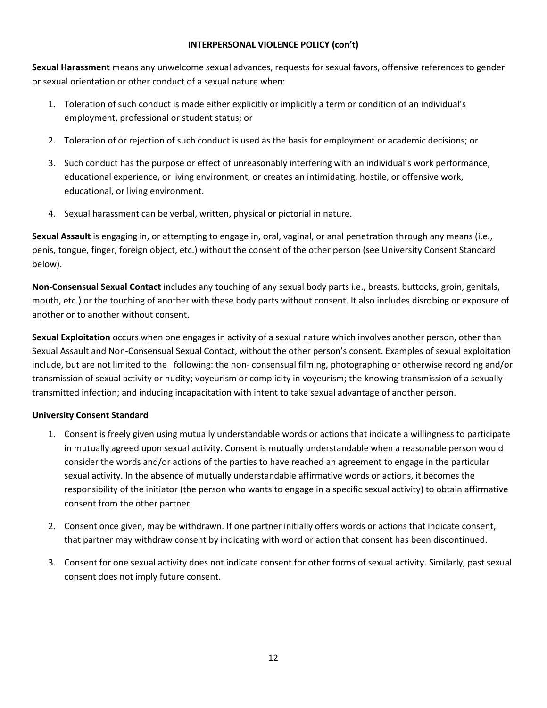**Sexual Harassment** means any unwelcome sexual advances, requests for sexual favors, offensive references to gender or sexual orientation or other conduct of a sexual nature when:

- 1. Toleration of such conduct is made either explicitly or implicitly a term or condition of an individual's employment, professional or student status; or
- 2. Toleration of or rejection of such conduct is used as the basis for employment or academic decisions; or
- 3. Such conduct has the purpose or effect of unreasonably interfering with an individual's work performance, educational experience, or living environment, or creates an intimidating, hostile, or offensive work, educational, or living environment.
- 4. Sexual harassment can be verbal, written, physical or pictorial in nature.

**Sexual Assault** is engaging in, or attempting to engage in, oral, vaginal, or anal penetration through any means (i.e., penis, tongue, finger, foreign object, etc.) without the consent of the other person (see University Consent Standard below).

**Non-Consensual Sexual Contact** includes any touching of any sexual body parts i.e., breasts, buttocks, groin, genitals, mouth, etc.) or the touching of another with these body parts without consent. It also includes disrobing or exposure of another or to another without consent.

**Sexual Exploitation** occurs when one engages in activity of a sexual nature which involves another person, other than Sexual Assault and Non-Consensual Sexual Contact, without the other person's consent. Examples of sexual exploitation include, but are not limited to the following: the non- consensual filming, photographing or otherwise recording and/or transmission of sexual activity or nudity; voyeurism or complicity in voyeurism; the knowing transmission of a sexually transmitted infection; and inducing incapacitation with intent to take sexual advantage of another person.

## **University Consent Standard**

- 1. Consent is freely given using mutually understandable words or actions that indicate a willingness to participate in mutually agreed upon sexual activity. Consent is mutually understandable when a reasonable person would consider the words and/or actions of the parties to have reached an agreement to engage in the particular sexual activity. In the absence of mutually understandable affirmative words or actions, it becomes the responsibility of the initiator (the person who wants to engage in a specific sexual activity) to obtain affirmative consent from the other partner.
- 2. Consent once given, may be withdrawn. If one partner initially offers words or actions that indicate consent, that partner may withdraw consent by indicating with word or action that consent has been discontinued.
- 3. Consent for one sexual activity does not indicate consent for other forms of sexual activity. Similarly, past sexual consent does not imply future consent.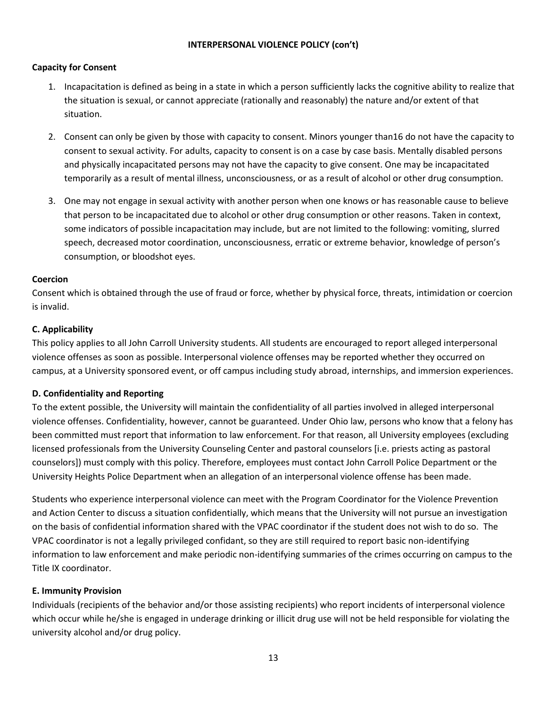## **Capacity for Consent**

- 1. Incapacitation is defined as being in a state in which a person sufficiently lacks the cognitive ability to realize that the situation is sexual, or cannot appreciate (rationally and reasonably) the nature and/or extent of that situation.
- 2. Consent can only be given by those with capacity to consent. Minors younger than16 do not have the capacity to consent to sexual activity. For adults, capacity to consent is on a case by case basis. Mentally disabled persons and physically incapacitated persons may not have the capacity to give consent. One may be incapacitated temporarily as a result of mental illness, unconsciousness, or as a result of alcohol or other drug consumption.
- 3. One may not engage in sexual activity with another person when one knows or has reasonable cause to believe that person to be incapacitated due to alcohol or other drug consumption or other reasons. Taken in context, some indicators of possible incapacitation may include, but are not limited to the following: vomiting, slurred speech, decreased motor coordination, unconsciousness, erratic or extreme behavior, knowledge of person's consumption, or bloodshot eyes.

#### **Coercion**

Consent which is obtained through the use of fraud or force, whether by physical force, threats, intimidation or coercion is invalid.

## **C. Applicability**

This policy applies to all John Carroll University students. All students are encouraged to report alleged interpersonal violence offenses as soon as possible. Interpersonal violence offenses may be reported whether they occurred on campus, at a University sponsored event, or off campus including study abroad, internships, and immersion experiences.

#### **D. Confidentiality and Reporting**

To the extent possible, the University will maintain the confidentiality of all parties involved in alleged interpersonal violence offenses. Confidentiality, however, cannot be guaranteed. Under Ohio law, persons who know that a felony has been committed must report that information to law enforcement. For that reason, all University employees (excluding licensed professionals from the University Counseling Center and pastoral counselors [i.e. priests acting as pastoral counselors]) must comply with this policy. Therefore, employees must contact John Carroll Police Department or the University Heights Police Department when an allegation of an interpersonal violence offense has been made.

Students who experience interpersonal violence can meet with the Program Coordinator for the Violence Prevention and Action Center to discuss a situation confidentially, which means that the University will not pursue an investigation on the basis of confidential information shared with the VPAC coordinator if the student does not wish to do so. The VPAC coordinator is not a legally privileged confidant, so they are still required to report basic non-identifying information to law enforcement and make periodic non-identifying summaries of the crimes occurring on campus to the Title IX coordinator.

#### **E. Immunity Provision**

Individuals (recipients of the behavior and/or those assisting recipients) who report incidents of interpersonal violence which occur while he/she is engaged in underage drinking or illicit drug use will not be held responsible for violating the university alcohol and/or drug policy.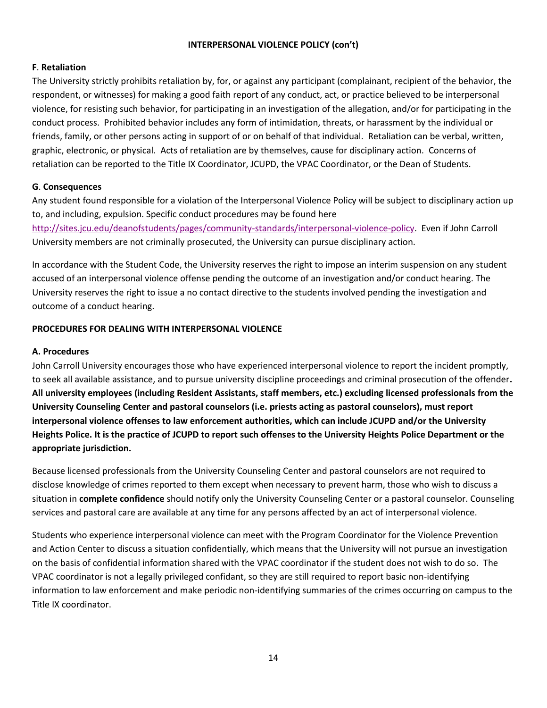### **F**. **Retaliation**

The University strictly prohibits retaliation by, for, or against any participant (complainant, recipient of the behavior, the respondent, or witnesses) for making a good faith report of any conduct, act, or practice believed to be interpersonal violence, for resisting such behavior, for participating in an investigation of the allegation, and/or for participating in the conduct process. Prohibited behavior includes any form of intimidation, threats, or harassment by the individual or friends, family, or other persons acting in support of or on behalf of that individual. Retaliation can be verbal, written, graphic, electronic, or physical. Acts of retaliation are by themselves, cause for disciplinary action. Concerns of retaliation can be reported to the Title IX Coordinator, JCUPD, the VPAC Coordinator, or the Dean of Students.

## **G**. **Consequences**

Any student found responsible for a violation of the Interpersonal Violence Policy will be subject to disciplinary action up to, and including, expulsion. Specific conduct procedures may be found here [http://sites.jcu.edu/deanofstudents/pages/community-standards/interpersonal-violence-policy.](http://sites.jcu.edu/deanofstudents/pages/community-standards/interpersonal-violence-policy) Even if John Carroll University members are not criminally prosecuted, the University can pursue disciplinary action.

In accordance with the Student Code, the University reserves the right to impose an interim suspension on any student accused of an interpersonal violence offense pending the outcome of an investigation and/or conduct hearing. The University reserves the right to issue a no contact directive to the students involved pending the investigation and outcome of a conduct hearing.

#### **PROCEDURES FOR DEALING WITH INTERPERSONAL VIOLENCE**

### **A. Procedures**

John Carroll University encourages those who have experienced interpersonal violence to report the incident promptly, to seek all available assistance, and to pursue university discipline proceedings and criminal prosecution of the offender**. All university employees (including Resident Assistants, staff members, etc.) excluding licensed professionals from the University Counseling Center and pastoral counselors (i.e. priests acting as pastoral counselors), must report interpersonal violence offenses to law enforcement authorities, which can include JCUPD and/or the University Heights Police. It is the practice of JCUPD to report such offenses to the University Heights Police Department or the appropriate jurisdiction.**

Because licensed professionals from the University Counseling Center and pastoral counselors are not required to disclose knowledge of crimes reported to them except when necessary to prevent harm, those who wish to discuss a situation in **complete confidence** should notify only the University Counseling Center or a pastoral counselor. Counseling services and pastoral care are available at any time for any persons affected by an act of interpersonal violence.

Students who experience interpersonal violence can meet with the Program Coordinator for the Violence Prevention and Action Center to discuss a situation confidentially, which means that the University will not pursue an investigation on the basis of confidential information shared with the VPAC coordinator if the student does not wish to do so. The VPAC coordinator is not a legally privileged confidant, so they are still required to report basic non-identifying information to law enforcement and make periodic non-identifying summaries of the crimes occurring on campus to the Title IX coordinator.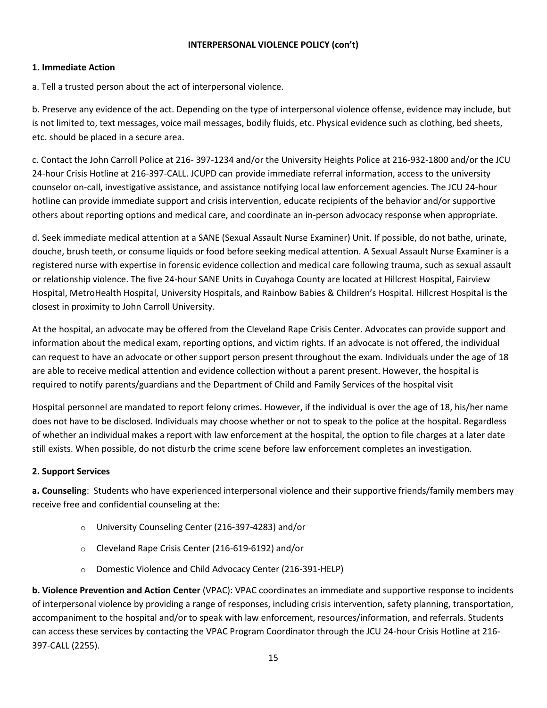## **1. Immediate Action**

a. Tell a trusted person about the act of interpersonal violence.

b. Preserve any evidence of the act. Depending on the type of interpersonal violence offense, evidence may include, but is not limited to, text messages, voice mail messages, bodily fluids, etc. Physical evidence such as clothing, bed sheets, etc. should be placed in a secure area.

c. Contact the John Carroll Police at 216- 397-1234 and/or the University Heights Police at 216-932-1800 and/or the JCU 24-hour Crisis Hotline at 216-397-CALL. JCUPD can provide immediate referral information, access to the university counselor on-call, investigative assistance, and assistance notifying local law enforcement agencies. The JCU 24-hour hotline can provide immediate support and crisis intervention, educate recipients of the behavior and/or supportive others about reporting options and medical care, and coordinate an in-person advocacy response when appropriate.

d. Seek immediate medical attention at a SANE (Sexual Assault Nurse Examiner) Unit. If possible, do not bathe, urinate, douche, brush teeth, or consume liquids or food before seeking medical attention. A Sexual Assault Nurse Examiner is a registered nurse with expertise in forensic evidence collection and medical care following trauma, such as sexual assault or relationship violence. The five 24-hour SANE Units in Cuyahoga County are located at Hillcrest Hospital, Fairview Hospital, MetroHealth Hospital, University Hospitals, and Rainbow Babies & Children's Hospital. Hillcrest Hospital is the closest in proximity to John Carroll University.

At the hospital, an advocate may be offered from the Cleveland Rape Crisis Center. Advocates can provide support and information about the medical exam, reporting options, and victim rights. If an advocate is not offered, the individual can request to have an advocate or other support person present throughout the exam. Individuals under the age of 18 are able to receive medical attention and evidence collection without a parent present. However, the hospital is required to notify parents/guardians and the Department of Child and Family Services of the hospital visit

Hospital personnel are mandated to report felony crimes. However, if the individual is over the age of 18, his/her name does not have to be disclosed. Individuals may choose whether or not to speak to the police at the hospital. Regardless of whether an individual makes a report with law enforcement at the hospital, the option to file charges at a later date still exists. When possible, do not disturb the crime scene before law enforcement completes an investigation.

#### **2. Support Services**

**a. Counseling**: Students who have experienced interpersonal violence and their supportive friends/family members may receive free and confidential counseling at the:

- o University Counseling Center (216-397-4283) and/or
- o Cleveland Rape Crisis Center (216-619-6192) and/or
- o Domestic Violence and Child Advocacy Center (216-391-HELP)

**b. Violence Prevention and Action Center** (VPAC): VPAC coordinates an immediate and supportive response to incidents of interpersonal violence by providing a range of responses, including crisis intervention, safety planning, transportation, accompaniment to the hospital and/or to speak with law enforcement, resources/information, and referrals. Students can access these services by contacting the VPAC Program Coordinator through the JCU 24-hour Crisis Hotline at 216- 397-CALL (2255).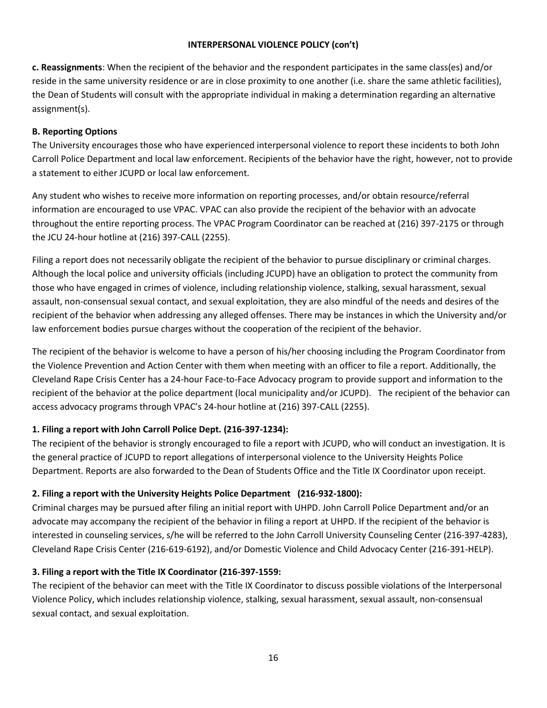**c. Reassignments**: When the recipient of the behavior and the respondent participates in the same class(es) and/or reside in the same university residence or are in close proximity to one another (i.e. share the same athletic facilities), the Dean of Students will consult with the appropriate individual in making a determination regarding an alternative assignment(s).

## **B. Reporting Options**

The University encourages those who have experienced interpersonal violence to report these incidents to both John Carroll Police Department and local law enforcement. Recipients of the behavior have the right, however, not to provide a statement to either JCUPD or local law enforcement.

Any student who wishes to receive more information on reporting processes, and/or obtain resource/referral information are encouraged to use VPAC. VPAC can also provide the recipient of the behavior with an advocate throughout the entire reporting process. The VPAC Program Coordinator can be reached at (216) 397-2175 or through the JCU 24-hour hotline at (216) 397-CALL (2255).

Filing a report does not necessarily obligate the recipient of the behavior to pursue disciplinary or criminal charges. Although the local police and university officials (including JCUPD) have an obligation to protect the community from those who have engaged in crimes of violence, including relationship violence, stalking, sexual harassment, sexual assault, non-consensual sexual contact, and sexual exploitation, they are also mindful of the needs and desires of the recipient of the behavior when addressing any alleged offenses. There may be instances in which the University and/or law enforcement bodies pursue charges without the cooperation of the recipient of the behavior.

The recipient of the behavior is welcome to have a person of his/her choosing including the Program Coordinator from the Violence Prevention and Action Center with them when meeting with an officer to file a report. Additionally, the Cleveland Rape Crisis Center has a 24-hour Face-to-Face Advocacy program to provide support and information to the recipient of the behavior at the police department (local municipality and/or JCUPD). The recipient of the behavior can access advocacy programs through VPAC's 24-hour hotline at (216) 397-CALL (2255).

## **1. Filing a report with John Carroll Police Dept. (216-397-1234):**

The recipient of the behavior is strongly encouraged to file a report with JCUPD, who will conduct an investigation. It is the general practice of JCUPD to report allegations of interpersonal violence to the University Heights Police Department. Reports are also forwarded to the Dean of Students Office and the Title IX Coordinator upon receipt.

## **2. Filing a report with the University Heights Police Department (216-932-1800):**

Criminal charges may be pursued after filing an initial report with UHPD. John Carroll Police Department and/or an advocate may accompany the recipient of the behavior in filing a report at UHPD. If the recipient of the behavior is interested in counseling services, s/he will be referred to the John Carroll University Counseling Center (216-397-4283), Cleveland Rape Crisis Center (216-619-6192), and/or Domestic Violence and Child Advocacy Center (216-391-HELP).

#### **3. Filing a report with the Title IX Coordinator (216-397-1559:**

The recipient of the behavior can meet with the Title IX Coordinator to discuss possible violations of the Interpersonal Violence Policy, which includes relationship violence, stalking, sexual harassment, sexual assault, non-consensual sexual contact, and sexual exploitation.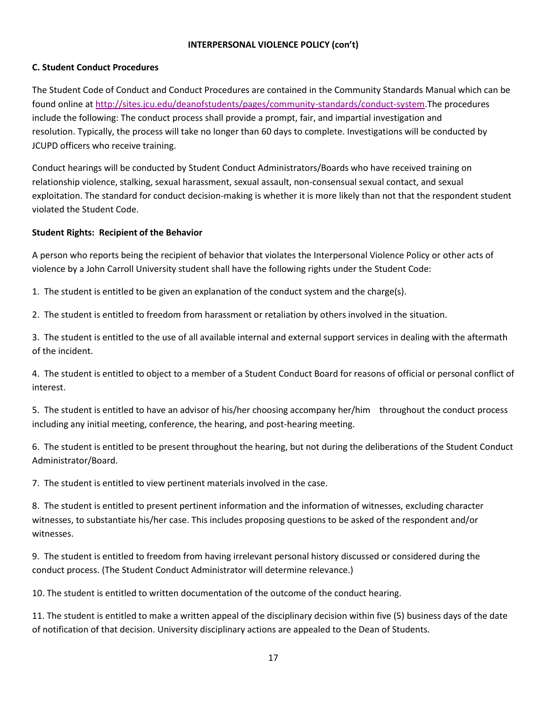#### **C. Student Conduct Procedures**

The Student Code of Conduct and Conduct Procedures are contained in the Community Standards Manual which can be found online at [http://sites.jcu.edu/deanofstudents/pages/community-standards/conduct-system.](http://sites.jcu.edu/deanofstudents/pages/community-standards/conduct-system)The procedures include the following: The conduct process shall provide a prompt, fair, and impartial investigation and resolution. Typically, the process will take no longer than 60 days to complete. Investigations will be conducted by JCUPD officers who receive training.

Conduct hearings will be conducted by Student Conduct Administrators/Boards who have received training on relationship violence, stalking, sexual harassment, sexual assault, non-consensual sexual contact, and sexual exploitation. The standard for conduct decision-making is whether it is more likely than not that the respondent student violated the Student Code.

#### **Student Rights: Recipient of the Behavior**

A person who reports being the recipient of behavior that violates the Interpersonal Violence Policy or other acts of violence by a John Carroll University student shall have the following rights under the Student Code:

1. The student is entitled to be given an explanation of the conduct system and the charge(s).

2. The student is entitled to freedom from harassment or retaliation by others involved in the situation.

3. The student is entitled to the use of all available internal and external support services in dealing with the aftermath of the incident.

4. The student is entitled to object to a member of a Student Conduct Board for reasons of official or personal conflict of interest.

5. The student is entitled to have an advisor of his/her choosing accompany her/him throughout the conduct process including any initial meeting, conference, the hearing, and post-hearing meeting.

6. The student is entitled to be present throughout the hearing, but not during the deliberations of the Student Conduct Administrator/Board.

7. The student is entitled to view pertinent materials involved in the case.

8. The student is entitled to present pertinent information and the information of witnesses, excluding character witnesses, to substantiate his/her case. This includes proposing questions to be asked of the respondent and/or witnesses.

9. The student is entitled to freedom from having irrelevant personal history discussed or considered during the conduct process. (The Student Conduct Administrator will determine relevance.)

10. The student is entitled to written documentation of the outcome of the conduct hearing.

11. The student is entitled to make a written appeal of the disciplinary decision within five (5) business days of the date of notification of that decision. University disciplinary actions are appealed to the Dean of Students.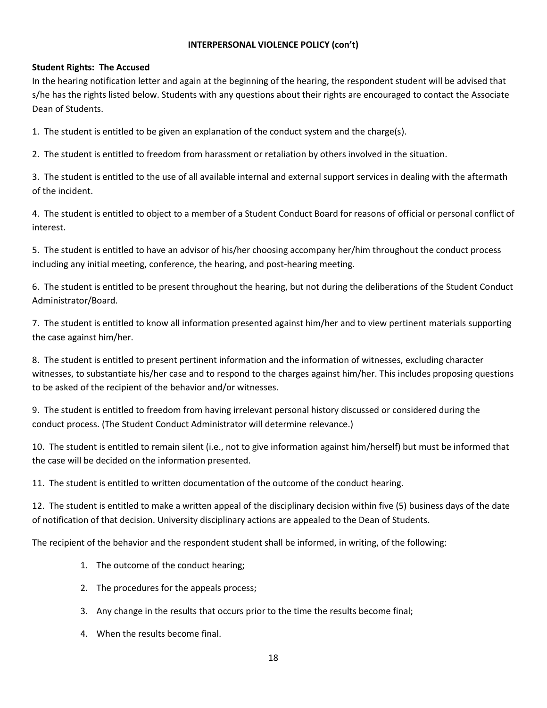#### **Student Rights: The Accused**

In the hearing notification letter and again at the beginning of the hearing, the respondent student will be advised that s/he has the rights listed below. Students with any questions about their rights are encouraged to contact the Associate Dean of Students.

1. The student is entitled to be given an explanation of the conduct system and the charge(s).

2. The student is entitled to freedom from harassment or retaliation by others involved in the situation.

3. The student is entitled to the use of all available internal and external support services in dealing with the aftermath of the incident.

4. The student is entitled to object to a member of a Student Conduct Board for reasons of official or personal conflict of interest.

5. The student is entitled to have an advisor of his/her choosing accompany her/him throughout the conduct process including any initial meeting, conference, the hearing, and post-hearing meeting.

6. The student is entitled to be present throughout the hearing, but not during the deliberations of the Student Conduct Administrator/Board.

7. The student is entitled to know all information presented against him/her and to view pertinent materials supporting the case against him/her.

8. The student is entitled to present pertinent information and the information of witnesses, excluding character witnesses, to substantiate his/her case and to respond to the charges against him/her. This includes proposing questions to be asked of the recipient of the behavior and/or witnesses.

9. The student is entitled to freedom from having irrelevant personal history discussed or considered during the conduct process. (The Student Conduct Administrator will determine relevance.)

10. The student is entitled to remain silent (i.e., not to give information against him/herself) but must be informed that the case will be decided on the information presented.

11. The student is entitled to written documentation of the outcome of the conduct hearing.

12. The student is entitled to make a written appeal of the disciplinary decision within five (5) business days of the date of notification of that decision. University disciplinary actions are appealed to the Dean of Students.

The recipient of the behavior and the respondent student shall be informed, in writing, of the following:

- 1. The outcome of the conduct hearing;
- 2. The procedures for the appeals process;
- 3. Any change in the results that occurs prior to the time the results become final;
- 4. When the results become final.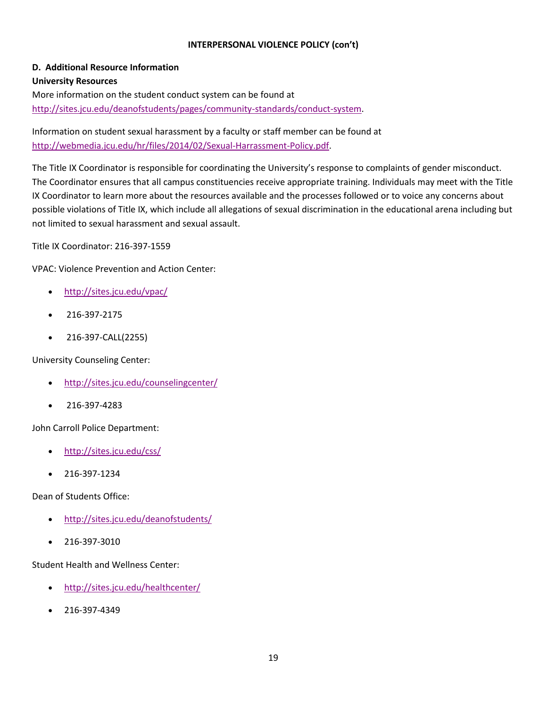## **D. Additional Resource Information**

## **University Resources**

More information on the student conduct system can be found at

[http://sites.jcu.edu/deanofstudents/pages/community-standards/conduct-system.](http://sites.jcu.edu/deanofstudents/pages/community-standards/conduct-system)

Information on student sexual harassment by a faculty or staff member can be found at [http://webmedia.jcu.edu/hr/files/2014/02/Sexual-Harrassment-Policy.pdf.](http://webmedia.jcu.edu/hr/files/2014/02/Sexual-Harrassment-Policy.pdf)

The Title IX Coordinator is responsible for coordinating the University's response to complaints of gender misconduct. The Coordinator ensures that all campus constituencies receive appropriate training. Individuals may meet with the Title IX Coordinator to learn more about the resources available and the processes followed or to voice any concerns about possible violations of Title IX, which include all allegations of sexual discrimination in the educational arena including but not limited to sexual harassment and sexual assault.

Title IX Coordinator: 216-397-1559

VPAC: Violence Prevention and Action Center:

- <http://sites.jcu.edu/vpac/>
- 216-397-2175
- $\bullet$  216-397-CALL(2255)

University Counseling Center:

- <http://sites.jcu.edu/counselingcenter/>
- 216-397-4283

John Carroll Police Department:

- <http://sites.jcu.edu/css/>
- 216-397-1234

Dean of Students Office:

- <http://sites.jcu.edu/deanofstudents/>
- 216-397-3010

Student Health and Wellness Center:

- <http://sites.jcu.edu/healthcenter/>
- 216-397-4349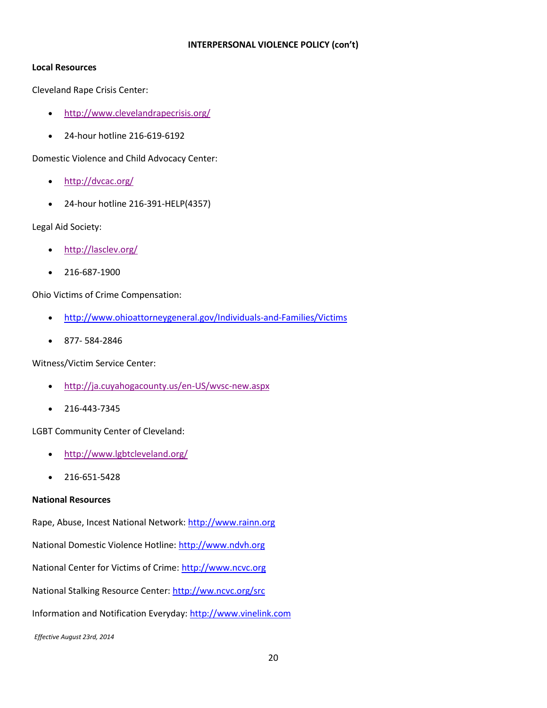#### **Local Resources**

Cleveland Rape Crisis Center:

- <http://www.clevelandrapecrisis.org/>
- 24-hour hotline 216-619-6192

Domestic Violence and Child Advocacy Center:

- <http://dvcac.org/>
- 24-hour hotline 216-391-HELP(4357)

Legal Aid Society:

- <http://lasclev.org/>
- $\bullet$  216-687-1900

Ohio Victims of Crime Compensation:

- <http://www.ohioattorneygeneral.gov/Individuals-and-Families/Victims>
- 877- 584-2846

Witness/Victim Service Center:

- <http://ja.cuyahogacounty.us/en-US/wvsc-new.aspx>
- 216-443-7345

LGBT Community Center of Cleveland:

- <http://www.lgbtcleveland.org/>
- $\bullet$  216-651-5428

#### **National Resources**

Rape, Abuse, Incest National Network: [http://www.rainn.org](http://www.rainn.org/)

National Domestic Violence Hotline: [http://www.ndvh.org](http://www.ndvh.org/)

National Center for Victims of Crime: [http://www.ncvc.org](http://www.ncvc.org/)

National Stalking Resource Center:<http://ww.ncvc.org/src>

Information and Notification Everyday: [http://www.vinelink.com](http://www.vinelink.com/)

*Effective August 23rd, 2014*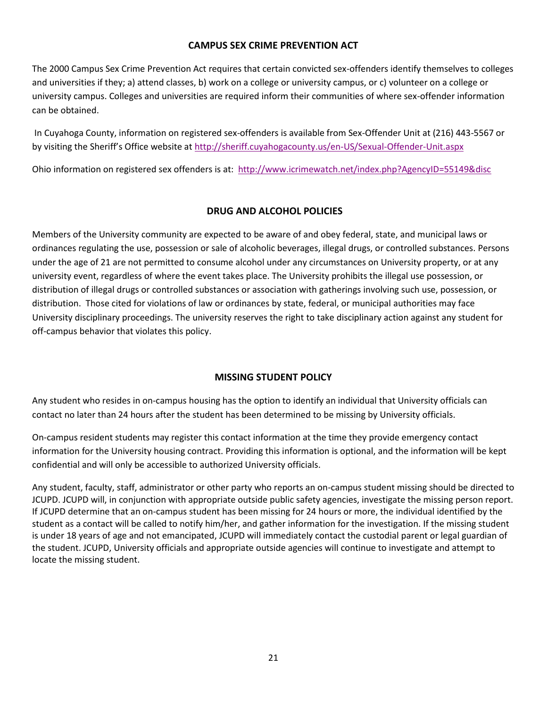#### **CAMPUS SEX CRIME PREVENTION ACT**

The 2000 Campus Sex Crime Prevention Act requires that certain convicted sex-offenders identify themselves to colleges and universities if they; a) attend classes, b) work on a college or university campus, or c) volunteer on a college or university campus. Colleges and universities are required inform their communities of where sex-offender information can be obtained.

In Cuyahoga County, information on registered sex-offenders is available from Sex-Offender Unit at (216) 443-5567 or by visiting the Sheriff's Office website at <http://sheriff.cuyahogacounty.us/en-US/Sexual-Offender-Unit.aspx>

Ohio information on registered sex offenders is at:<http://www.icrimewatch.net/index.php?AgencyID=55149&disc>

## **DRUG AND ALCOHOL POLICIES**

Members of the University community are expected to be aware of and obey federal, state, and municipal laws or ordinances regulating the use, possession or sale of alcoholic beverages, illegal drugs, or controlled substances. Persons under the age of 21 are not permitted to consume alcohol under any circumstances on University property, or at any university event, regardless of where the event takes place. The University prohibits the illegal use possession, or distribution of illegal drugs or controlled substances or association with gatherings involving such use, possession, or distribution. Those cited for violations of law or ordinances by state, federal, or municipal authorities may face University disciplinary proceedings. The university reserves the right to take disciplinary action against any student for off-campus behavior that violates this policy.

## **MISSING STUDENT POLICY**

Any student who resides in on-campus housing has the option to identify an individual that University officials can contact no later than 24 hours after the student has been determined to be missing by University officials.

On-campus resident students may register this contact information at the time they provide emergency contact information for the University housing contract. Providing this information is optional, and the information will be kept confidential and will only be accessible to authorized University officials.

Any student, faculty, staff, administrator or other party who reports an on-campus student missing should be directed to JCUPD. JCUPD will, in conjunction with appropriate outside public safety agencies, investigate the missing person report. If JCUPD determine that an on-campus student has been missing for 24 hours or more, the individual identified by the student as a contact will be called to notify him/her, and gather information for the investigation. If the missing student is under 18 years of age and not emancipated, JCUPD will immediately contact the custodial parent or legal guardian of the student. JCUPD, University officials and appropriate outside agencies will continue to investigate and attempt to locate the missing student.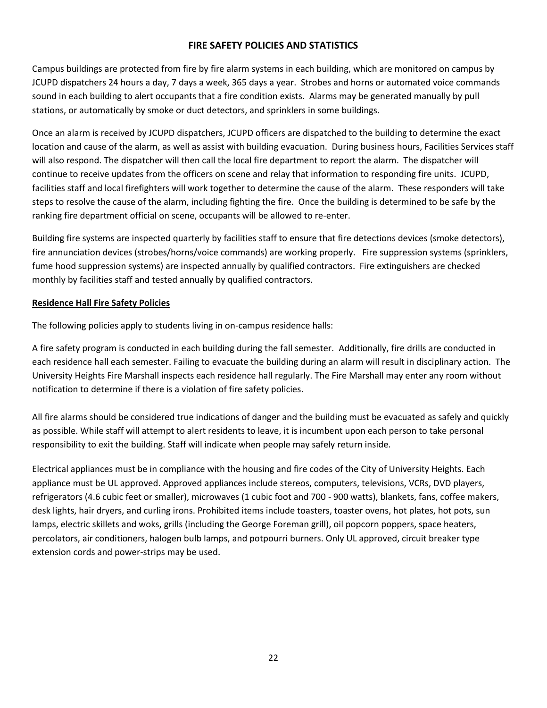### **FIRE SAFETY POLICIES AND STATISTICS**

Campus buildings are protected from fire by fire alarm systems in each building, which are monitored on campus by JCUPD dispatchers 24 hours a day, 7 days a week, 365 days a year. Strobes and horns or automated voice commands sound in each building to alert occupants that a fire condition exists. Alarms may be generated manually by pull stations, or automatically by smoke or duct detectors, and sprinklers in some buildings.

Once an alarm is received by JCUPD dispatchers, JCUPD officers are dispatched to the building to determine the exact location and cause of the alarm, as well as assist with building evacuation. During business hours, Facilities Services staff will also respond. The dispatcher will then call the local fire department to report the alarm. The dispatcher will continue to receive updates from the officers on scene and relay that information to responding fire units. JCUPD, facilities staff and local firefighters will work together to determine the cause of the alarm. These responders will take steps to resolve the cause of the alarm, including fighting the fire. Once the building is determined to be safe by the ranking fire department official on scene, occupants will be allowed to re-enter.

Building fire systems are inspected quarterly by facilities staff to ensure that fire detections devices (smoke detectors), fire annunciation devices (strobes/horns/voice commands) are working properly. Fire suppression systems (sprinklers, fume hood suppression systems) are inspected annually by qualified contractors. Fire extinguishers are checked monthly by facilities staff and tested annually by qualified contractors.

#### **Residence Hall Fire Safety Policies**

The following policies apply to students living in on-campus residence halls:

A fire safety program is conducted in each building during the fall semester. Additionally, fire drills are conducted in each residence hall each semester. Failing to evacuate the building during an alarm will result in disciplinary action. The University Heights Fire Marshall inspects each residence hall regularly. The Fire Marshall may enter any room without notification to determine if there is a violation of fire safety policies.

All fire alarms should be considered true indications of danger and the building must be evacuated as safely and quickly as possible. While staff will attempt to alert residents to leave, it is incumbent upon each person to take personal responsibility to exit the building. Staff will indicate when people may safely return inside.

Electrical appliances must be in compliance with the housing and fire codes of the City of University Heights. Each appliance must be UL approved. Approved appliances include stereos, computers, televisions, VCRs, DVD players, refrigerators (4.6 cubic feet or smaller), microwaves (1 cubic foot and 700 - 900 watts), blankets, fans, coffee makers, desk lights, hair dryers, and curling irons. Prohibited items include toasters, toaster ovens, hot plates, hot pots, sun lamps, electric skillets and woks, grills (including the George Foreman grill), oil popcorn poppers, space heaters, percolators, air conditioners, halogen bulb lamps, and potpourri burners. Only UL approved, circuit breaker type extension cords and power-strips may be used.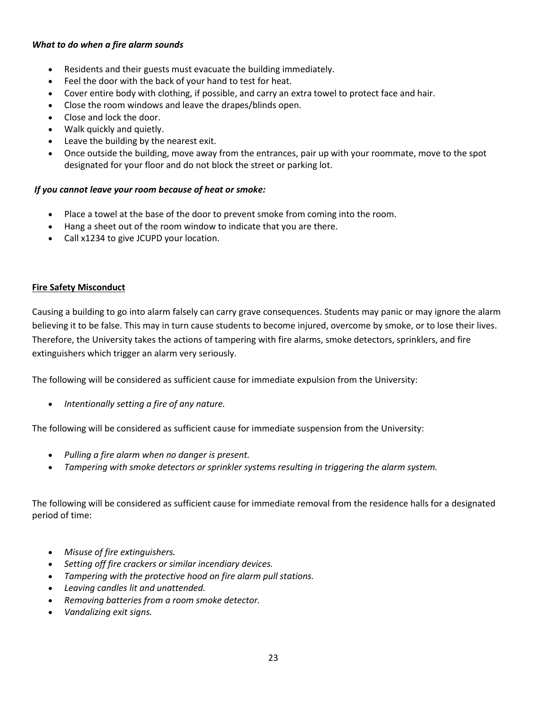#### *What to do when a fire alarm sounds*

- Residents and their guests must evacuate the building immediately.
- Feel the door with the back of your hand to test for heat.
- Cover entire body with clothing, if possible, and carry an extra towel to protect face and hair.
- Close the room windows and leave the drapes/blinds open.
- Close and lock the door.
- Walk quickly and quietly.
- Leave the building by the nearest exit.
- Once outside the building, move away from the entrances, pair up with your roommate, move to the spot designated for your floor and do not block the street or parking lot.

#### *If you cannot leave your room because of heat or smoke:*

- Place a towel at the base of the door to prevent smoke from coming into the room.
- Hang a sheet out of the room window to indicate that you are there.
- Call x1234 to give JCUPD your location.

#### **Fire Safety Misconduct**

Causing a building to go into alarm falsely can carry grave consequences. Students may panic or may ignore the alarm believing it to be false. This may in turn cause students to become injured, overcome by smoke, or to lose their lives. Therefore, the University takes the actions of tampering with fire alarms, smoke detectors, sprinklers, and fire extinguishers which trigger an alarm very seriously.

The following will be considered as sufficient cause for immediate expulsion from the University:

*Intentionally setting a fire of any nature.* 

The following will be considered as sufficient cause for immediate suspension from the University:

- *Pulling a fire alarm when no danger is present.*
- *Tampering with smoke detectors or sprinkler systems resulting in triggering the alarm system.*

The following will be considered as sufficient cause for immediate removal from the residence halls for a designated period of time:

- *Misuse of fire extinguishers.*
- *Setting off fire crackers or similar incendiary devices.*
- *Tampering with the protective hood on fire alarm pull stations.*
- *Leaving candles lit and unattended.*
- *Removing batteries from a room smoke detector.*
- *Vandalizing exit signs.*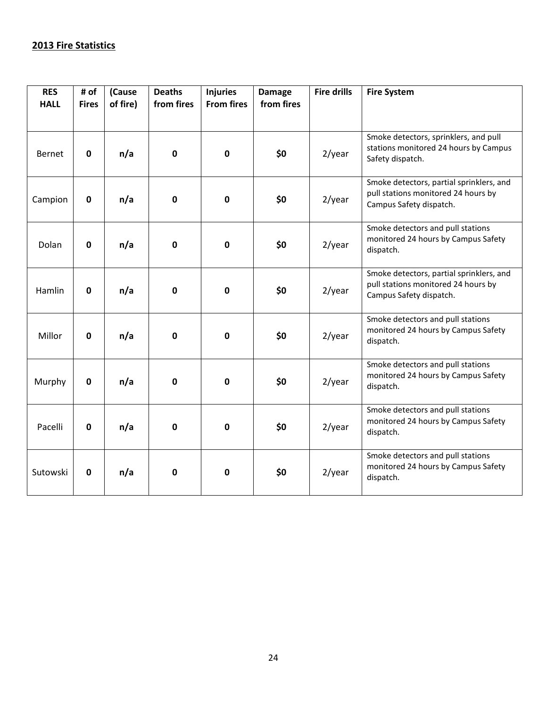| <b>RES</b><br><b>HALL</b> | # of<br><b>Fires</b> | (Cause<br>of fire) | <b>Deaths</b><br>from fires | <b>Injuries</b><br><b>From fires</b> | <b>Damage</b><br>from fires | <b>Fire drills</b> | <b>Fire System</b>                                                                                         |
|---------------------------|----------------------|--------------------|-----------------------------|--------------------------------------|-----------------------------|--------------------|------------------------------------------------------------------------------------------------------------|
|                           |                      |                    |                             |                                      |                             |                    |                                                                                                            |
| <b>Bernet</b>             | $\mathbf 0$          | n/a                | $\pmb{0}$                   | 0                                    | \$0                         | $2$ /year          | Smoke detectors, sprinklers, and pull<br>stations monitored 24 hours by Campus<br>Safety dispatch.         |
| Campion                   | $\mathbf 0$          | n/a                | $\mathbf 0$                 | 0                                    | \$0                         | $2$ /year          | Smoke detectors, partial sprinklers, and<br>pull stations monitored 24 hours by<br>Campus Safety dispatch. |
| Dolan                     | $\mathbf 0$          | n/a                | $\mathbf 0$                 | $\mathbf 0$                          | \$0                         | $2$ /year          | Smoke detectors and pull stations<br>monitored 24 hours by Campus Safety<br>dispatch.                      |
| Hamlin                    | $\mathbf 0$          | n/a                | $\mathbf 0$                 | 0                                    | \$0                         | $2$ /year          | Smoke detectors, partial sprinklers, and<br>pull stations monitored 24 hours by<br>Campus Safety dispatch. |
| Millor                    | $\mathbf 0$          | n/a                | $\mathbf 0$                 | 0                                    | \$0                         | $2$ /year          | Smoke detectors and pull stations<br>monitored 24 hours by Campus Safety<br>dispatch.                      |
| Murphy                    | $\mathbf 0$          | n/a                | $\mathbf 0$                 | 0                                    | \$0                         | $2$ /year          | Smoke detectors and pull stations<br>monitored 24 hours by Campus Safety<br>dispatch.                      |
| Pacelli                   | $\mathbf 0$          | n/a                | $\mathbf 0$                 | 0                                    | \$0                         | $2$ /year          | Smoke detectors and pull stations<br>monitored 24 hours by Campus Safety<br>dispatch.                      |
| Sutowski                  | $\mathbf 0$          | n/a                | $\pmb{0}$                   | $\pmb{0}$                            | \$0                         | $2$ /year          | Smoke detectors and pull stations<br>monitored 24 hours by Campus Safety<br>dispatch.                      |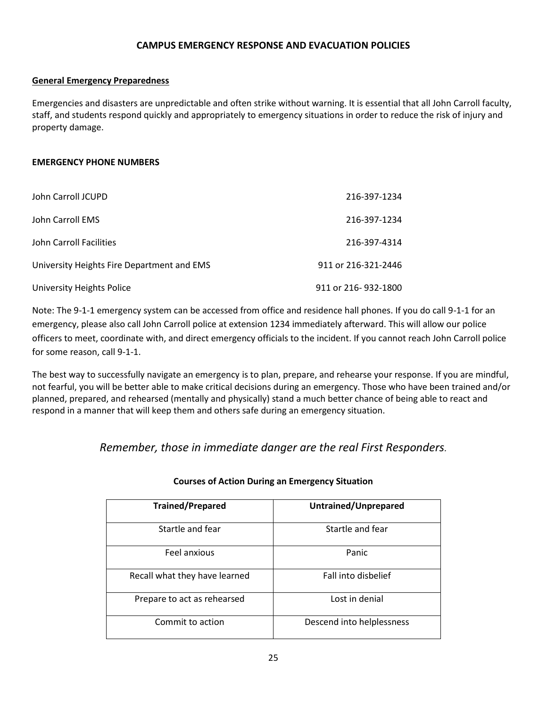#### **CAMPUS EMERGENCY RESPONSE AND EVACUATION POLICIES**

#### **General Emergency Preparedness**

Emergencies and disasters are unpredictable and often strike without warning. It is essential that all John Carroll faculty, staff, and students respond quickly and appropriately to emergency situations in order to reduce the risk of injury and property damage.

### **EMERGENCY PHONE NUMBERS**

| John Carroll JCUPD                         | 216-397-1234        |
|--------------------------------------------|---------------------|
| John Carroll EMS                           | 216-397-1234        |
| John Carroll Facilities                    | 216-397-4314        |
| University Heights Fire Department and EMS | 911 or 216-321-2446 |
| University Heights Police                  | 911 or 216-932-1800 |

Note: The 9-1-1 emergency system can be accessed from office and residence hall phones. If you do call 9-1-1 for an emergency, please also call John Carroll police at extension 1234 immediately afterward. This will allow our police officers to meet, coordinate with, and direct emergency officials to the incident. If you cannot reach John Carroll police for some reason, call 9-1-1.

The best way to successfully navigate an emergency is to plan, prepare, and rehearse your response. If you are mindful, not fearful, you will be better able to make critical decisions during an emergency. Those who have been trained and/or planned, prepared, and rehearsed (mentally and physically) stand a much better chance of being able to react and respond in a manner that will keep them and others safe during an emergency situation.

*Remember, those in immediate danger are the real First Responders.*

| <b>Trained/Prepared</b>       | Untrained/Unprepared      |
|-------------------------------|---------------------------|
| Startle and fear              | Startle and fear          |
| Feel anxious                  | Panic                     |
| Recall what they have learned | Fall into disbelief       |
| Prepare to act as rehearsed   | Lost in denial            |
| Commit to action              | Descend into helplessness |

## **Courses of Action During an Emergency Situation**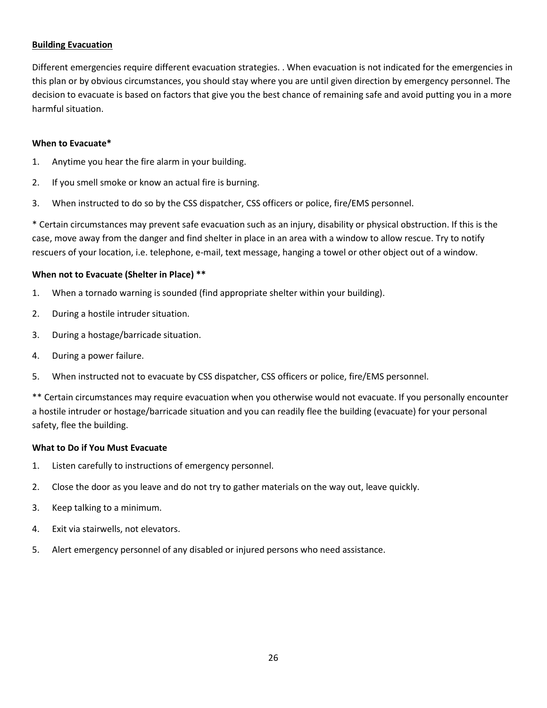#### **Building Evacuation**

Different emergencies require different evacuation strategies. . When evacuation is not indicated for the emergencies in this plan or by obvious circumstances, you should stay where you are until given direction by emergency personnel. The decision to evacuate is based on factors that give you the best chance of remaining safe and avoid putting you in a more harmful situation.

#### **When to Evacuate\***

- 1. Anytime you hear the fire alarm in your building.
- 2. If you smell smoke or know an actual fire is burning.
- 3. When instructed to do so by the CSS dispatcher, CSS officers or police, fire/EMS personnel.

\* Certain circumstances may prevent safe evacuation such as an injury, disability or physical obstruction. If this is the case, move away from the danger and find shelter in place in an area with a window to allow rescue. Try to notify rescuers of your location, i.e. telephone, e-mail, text message, hanging a towel or other object out of a window.

#### **When not to Evacuate (Shelter in Place) \*\***

- 1. When a tornado warning is sounded (find appropriate shelter within your building).
- 2. During a hostile intruder situation.
- 3. During a hostage/barricade situation.
- 4. During a power failure.
- 5. When instructed not to evacuate by CSS dispatcher, CSS officers or police, fire/EMS personnel.

\*\* Certain circumstances may require evacuation when you otherwise would not evacuate. If you personally encounter a hostile intruder or hostage/barricade situation and you can readily flee the building (evacuate) for your personal safety, flee the building.

#### **What to Do if You Must Evacuate**

- 1. Listen carefully to instructions of emergency personnel.
- 2. Close the door as you leave and do not try to gather materials on the way out, leave quickly.
- 3. Keep talking to a minimum.
- 4. Exit via stairwells, not elevators.
- 5. Alert emergency personnel of any disabled or injured persons who need assistance.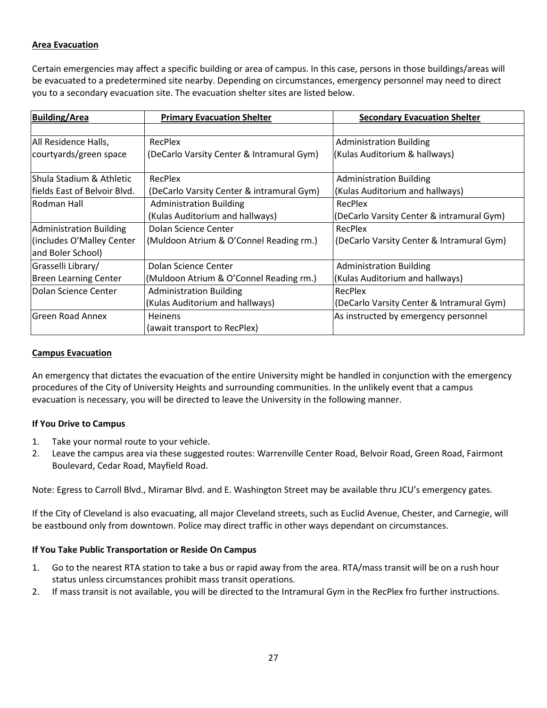## **Area Evacuation**

Certain emergencies may affect a specific building or area of campus. In this case, persons in those buildings/areas will be evacuated to a predetermined site nearby. Depending on circumstances, emergency personnel may need to direct you to a secondary evacuation site. The evacuation shelter sites are listed below.

| <b>Building/Area</b>           | <b>Primary Evacuation Shelter</b>         | <b>Secondary Evacuation Shelter</b>       |
|--------------------------------|-------------------------------------------|-------------------------------------------|
|                                |                                           |                                           |
| All Residence Halls,           | RecPlex                                   | <b>Administration Building</b>            |
| courtyards/green space         | (DeCarlo Varsity Center & Intramural Gym) | (Kulas Auditorium & hallways)             |
|                                |                                           |                                           |
| Shula Stadium & Athletic       | RecPlex                                   | <b>Administration Building</b>            |
| lfields East of Belvoir Blvd.  | (DeCarlo Varsity Center & intramural Gym) | (Kulas Auditorium and hallways)           |
| lRodman Hall                   | <b>Administration Building</b>            | RecPlex                                   |
|                                | (Kulas Auditorium and hallways)           | (DeCarlo Varsity Center & intramural Gym) |
| <b>Administration Building</b> | Dolan Science Center                      | RecPlex                                   |
| (includes O'Malley Center      | (Muldoon Atrium & O'Connel Reading rm.)   | (DeCarlo Varsity Center & Intramural Gym) |
| and Boler School)              |                                           |                                           |
| Grasselli Library/             | Dolan Science Center                      | <b>Administration Building</b>            |
| <b>Breen Learning Center</b>   | (Muldoon Atrium & O'Connel Reading rm.)   | (Kulas Auditorium and hallways)           |
| lDolan Science Center          | <b>Administration Building</b>            | RecPlex                                   |
|                                | (Kulas Auditorium and hallways)           | (DeCarlo Varsity Center & Intramural Gym) |
| Green Road Annex               | <b>Heinens</b>                            | As instructed by emergency personnel      |
|                                | (await transport to RecPlex)              |                                           |

#### **Campus Evacuation**

An emergency that dictates the evacuation of the entire University might be handled in conjunction with the emergency procedures of the City of University Heights and surrounding communities. In the unlikely event that a campus evacuation is necessary, you will be directed to leave the University in the following manner.

#### **If You Drive to Campus**

- 1. Take your normal route to your vehicle.
- 2. Leave the campus area via these suggested routes: Warrenville Center Road, Belvoir Road, Green Road, Fairmont Boulevard, Cedar Road, Mayfield Road.

Note: Egress to Carroll Blvd., Miramar Blvd. and E. Washington Street may be available thru JCU's emergency gates.

If the City of Cleveland is also evacuating, all major Cleveland streets, such as Euclid Avenue, Chester, and Carnegie, will be eastbound only from downtown. Police may direct traffic in other ways dependant on circumstances.

#### **If You Take Public Transportation or Reside On Campus**

- 1. Go to the nearest RTA station to take a bus or rapid away from the area. RTA/mass transit will be on a rush hour status unless circumstances prohibit mass transit operations.
- 2. If mass transit is not available, you will be directed to the Intramural Gym in the RecPlex fro further instructions.